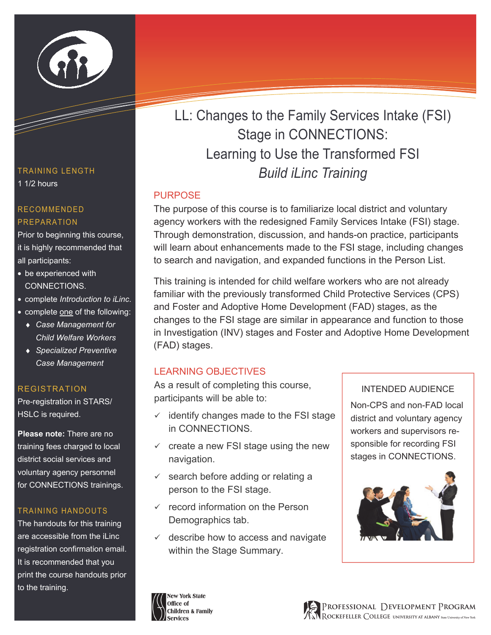

### TRAINING LENGTH 1 1/2 hours

#### RECOMMENDED PREPARATION

Prior to beginning this course, it is highly recommended that all participants:

- be experienced with CONNECTIONS.
- complete *Introduction to iLinc*.
- complete one of the following:
	- ♦ *Case Management for Child Welfare Workers*
	- ♦ *Specialized Preventive Case Management*

### REGISTRATION

Pre-registration in STARS/ HSLC is required.

**Please note:** There are no training fees charged to local district social services and voluntary agency personnel for CONNECTIONS trainings.

#### TRAINING HANDOUTS

The handouts for this training are accessible from the iLinc registration confirmation email. It is recommended that you print the course handouts prior to the training.

LL: Changes to the Family Services Intake (FSI) Stage in CONNECTIONS: Learning to Use the Transformed FSI *Build iLinc Training* 

## PURPOSE

The purpose of this course is to familiarize local district and voluntary agency workers with the redesigned Family Services Intake (FSI) stage. Through demonstration, discussion, and hands-on practice, participants will learn about enhancements made to the FSI stage, including changes to search and navigation, and expanded functions in the Person List.

This training is intended for child welfare workers who are not already familiar with the previously transformed Child Protective Services (CPS) and Foster and Adoptive Home Development (FAD) stages, as the changes to the FSI stage are similar in appearance and function to those in Investigation (INV) stages and Foster and Adoptive Home Development (FAD) stages.

# LEARNING OBJECTIVES

As a result of completing this course, participants will be able to:

- $\checkmark$  identify changes made to the FSI stage in CONNECTIONS.
- $\checkmark$  create a new FSI stage using the new navigation.
- $\checkmark$  search before adding or relating a person to the FSI stage.
- $\checkmark$  record information on the Person Demographics tab.
- $\checkmark$  describe how to access and navigate within the Stage Summary.

### INTENDED AUDIENCE

Non-CPS and non-FAD local district and voluntary agency workers and supervisors responsible for recording FSI stages in CONNECTIONS.